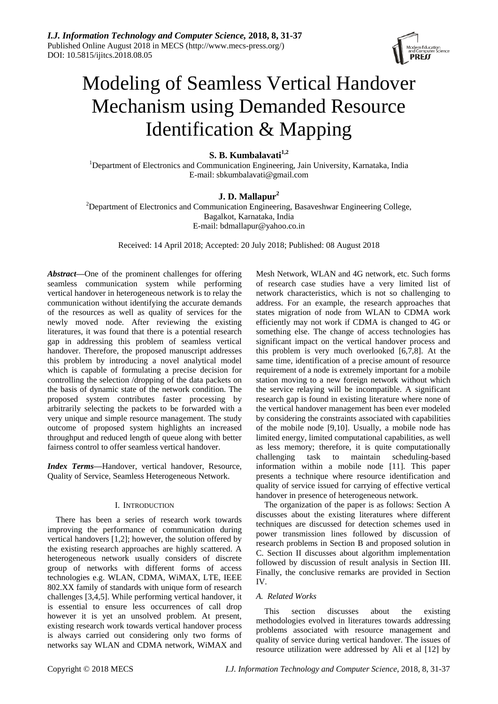

# Modeling of Seamless Vertical Handover Mechanism using Demanded Resource Identification & Mapping

# **S. B. Kumbalavati1,2**

<sup>1</sup>Department of Electronics and Communication Engineering, Jain University, Karnataka, India E-mail: sbkumbalavati@gmail.com

# **J. D. Mallapur<sup>2</sup>**

<sup>2</sup>Department of Electronics and Communication Engineering, Basaveshwar Engineering College, Bagalkot, Karnataka, India E-mail: bdmallapur@yahoo.co.in

Received: 14 April 2018; Accepted: 20 July 2018; Published: 08 August 2018

*Abstract—*One of the prominent challenges for offering seamless communication system while performing vertical handover in heterogeneous network is to relay the communication without identifying the accurate demands of the resources as well as quality of services for the newly moved node. After reviewing the existing literatures, it was found that there is a potential research gap in addressing this problem of seamless vertical handover. Therefore, the proposed manuscript addresses this problem by introducing a novel analytical model which is capable of formulating a precise decision for controlling the selection /dropping of the data packets on the basis of dynamic state of the network condition. The proposed system contributes faster processing by arbitrarily selecting the packets to be forwarded with a very unique and simple resource management. The study outcome of proposed system highlights an increased throughput and reduced length of queue along with better fairness control to offer seamless vertical handover.

*Index Terms***—**Handover, vertical handover, Resource, Quality of Service, Seamless Heterogeneous Network.

# I. INTRODUCTION

There has been a series of research work towards improving the performance of communication during vertical handovers [1,2]; however, the solution offered by the existing research approaches are highly scattered. A heterogeneous network usually considers of discrete group of networks with different forms of access technologies e.g. WLAN, CDMA, WiMAX, LTE, IEEE 802.XX family of standards with unique form of research challenges [3,4,5]. While performing vertical handover, it is essential to ensure less occurrences of call drop however it is yet an unsolved problem. At present, existing research work towards vertical handover process is always carried out considering only two forms of networks say WLAN and CDMA network, WiMAX and Mesh Network, WLAN and 4G network, etc. Such forms of research case studies have a very limited list of network characteristics, which is not so challenging to address. For an example, the research approaches that states migration of node from WLAN to CDMA work efficiently may not work if CDMA is changed to 4G or something else. The change of access technologies has significant impact on the vertical handover process and this problem is very much overlooked [6,7,8]. At the same time, identification of a precise amount of resource requirement of a node is extremely important for a mobile station moving to a new foreign network without which the service relaying will be incompatible. A significant research gap is found in existing literature where none of the vertical handover management has been ever modeled by considering the constraints associated with capabilities of the mobile node [9,10]. Usually, a mobile node has limited energy, limited computational capabilities, as well as less memory; therefore, it is quite computationally challenging task to maintain scheduling-based information within a mobile node [11]. This paper presents a technique where resource identification and quality of service issued for carrying of effective vertical handover in presence of heterogeneous network.

The organization of the paper is as follows: Section A discusses about the existing literatures where different techniques are discussed for detection schemes used in power transmission lines followed by discussion of research problems in Section B and proposed solution in C. Section II discusses about algorithm implementation followed by discussion of result analysis in Section III. Finally, the conclusive remarks are provided in Section IV.

# *A. Related Works*

This section discusses about the existing methodologies evolved in literatures towards addressing problems associated with resource management and quality of service during vertical handover. The issues of resource utilization were addressed by Ali et al [12] by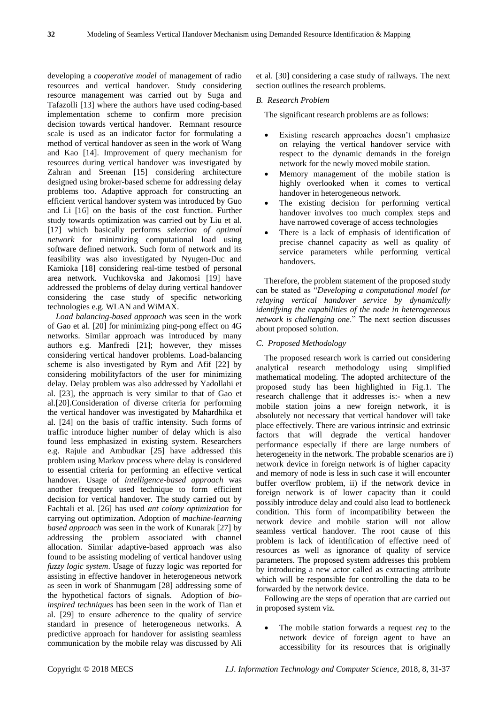developing a *cooperative model* of management of radio resources and vertical handover. Study considering resource management was carried out by Suga and Tafazolli [13] where the authors have used coding-based implementation scheme to confirm more precision decision towards vertical handover. Remnant resource scale is used as an indicator factor for formulating a method of vertical handover as seen in the work of Wang and Kao [14]. Improvement of query mechanism for resources during vertical handover was investigated by Zahran and Sreenan [15] considering architecture designed using broker-based scheme for addressing delay problems too. Adaptive approach for constructing an efficient vertical handover system was introduced by Guo and Li [16] on the basis of the cost function. Further study towards optimization was carried out by Liu et al. [17] which basically performs *selection of optimal network* for minimizing computational load using software defined network. Such form of network and its feasibility was also investigated by Nyugen-Duc and Kamioka [18] considering real-time testbed of personal area network. Vuchkovska and Jakomosi [19] have addressed the problems of delay during vertical handover considering the case study of specific networking technologies e.g. WLAN and WiMAX.

*Load balancing-based approach* was seen in the work of Gao et al. [20] for minimizing ping-pong effect on 4G networks. Similar approach was introduced by many authors e.g. Manfredi [21]; however, they misses considering vertical handover problems. Load-balancing scheme is also investigated by Rym and Afif [22] by considering mobilityfactors of the user for minimizing delay. Delay problem was also addressed by Yadollahi et al. [23], the approach is very similar to that of Gao et al.[20].Consideration of diverse criteria for performing the vertical handover was investigated by Mahardhika et al. [24] on the basis of traffic intensity. Such forms of traffic introduce higher number of delay which is also found less emphasized in existing system. Researchers e.g. Rajule and Ambudkar [25] have addressed this problem using Markov process where delay is considered to essential criteria for performing an effective vertical handover. Usage of *intelligence-based approach* was another frequently used technique to form efficient decision for vertical handover. The study carried out by Fachtali et al. [26] has used *ant colony optimization* for carrying out optimization. Adoption of *machine-learning based approach* was seen in the work of Kunarak [27] by addressing the problem associated with channel allocation. Similar adaptive-based approach was also found to be assisting modeling of vertical handover using *fuzzy logic system*. Usage of fuzzy logic was reported for assisting in effective handover in heterogeneous network as seen in work of Shanmugam [28] addressing some of the hypothetical factors of signals. Adoption of *bioinspired techniques* has been seen in the work of Tian et al. [29] to ensure adherence to the quality of service standard in presence of heterogeneous networks. A predictive approach for handover for assisting seamless communication by the mobile relay was discussed by Ali et al. [30] considering a case study of railways. The next section outlines the research problems.

#### *B. Research Problem*

The significant research problems are as follows:

- Existing research approaches doesn't emphasize on relaying the vertical handover service with respect to the dynamic demands in the foreign network for the newly moved mobile station.
- Memory management of the mobile station is highly overlooked when it comes to vertical handover in heterogeneous network.
- The existing decision for performing vertical handover involves too much complex steps and have narrowed coverage of access technologies
- There is a lack of emphasis of identification of precise channel capacity as well as quality of service parameters while performing vertical handovers.

Therefore, the problem statement of the proposed study can be stated as "*Developing a computational model for relaying vertical handover service by dynamically identifying the capabilities of the node in heterogeneous network is challenging one*." The next section discusses about proposed solution.

#### *C. Proposed Methodology*

The proposed research work is carried out considering analytical research methodology using simplified mathematical modeling. The adopted architecture of the proposed study has been highlighted in Fig.1. The research challenge that it addresses is:- when a new mobile station joins a new foreign network, it is absolutely not necessary that vertical handover will take place effectively. There are various intrinsic and extrinsic factors that will degrade the vertical handover performance especially if there are large numbers of heterogeneity in the network. The probable scenarios are i) network device in foreign network is of higher capacity and memory of node is less in such case it will encounter buffer overflow problem, ii) if the network device in foreign network is of lower capacity than it could possibly introduce delay and could also lead to bottleneck condition. This form of incompatibility between the network device and mobile station will not allow seamless vertical handover. The root cause of this problem is lack of identification of effective need of resources as well as ignorance of quality of service parameters. The proposed system addresses this problem by introducing a new actor called as extracting attribute which will be responsible for controlling the data to be forwarded by the network device.

Following are the steps of operation that are carried out in proposed system viz.

 The mobile station forwards a request *req* to the network device of foreign agent to have an accessibility for its resources that is originally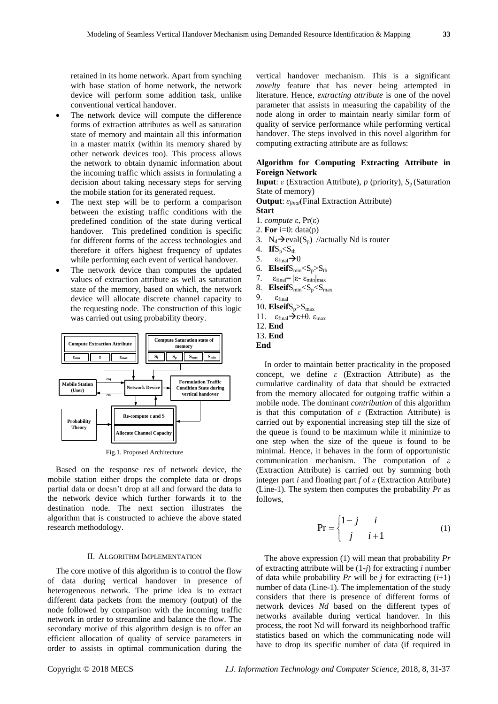retained in its home network. Apart from synching with base station of home network, the network device will perform some addition task, unlike conventional vertical handover.

- The network device will compute the difference forms of extraction attributes as well as saturation state of memory and maintain all this information in a master matrix (within its memory shared by other network devices too). This process allows the network to obtain dynamic information about the incoming traffic which assists in formulating a decision about taking necessary steps for serving the mobile station for its generated request.
- The next step will be to perform a comparison between the existing traffic conditions with the predefined condition of the state during vertical handover. This predefined condition is specific for different forms of the access technologies and therefore it offers highest frequency of updates while performing each event of vertical handover.
- The network device than computes the updated values of extraction attribute as well as saturation state of the memory, based on which, the network device will allocate discrete channel capacity to the requesting node. The construction of this logic was carried out using probability theory.



Fig.1. Proposed Architecture

Based on the response *res* of network device, the mobile station either drops the complete data or drops partial data or doesn't drop at all and forward the data to the network device which further forwards it to the destination node. The next section illustrates the algorithm that is constructed to achieve the above stated research methodology.

#### II. ALGORITHM IMPLEMENTATION

The core motive of this algorithm is to control the flow of data during vertical handover in presence of heterogeneous network. The prime idea is to extract different data packets from the memory (output) of the node followed by comparison with the incoming traffic network in order to streamline and balance the flow. The secondary motive of this algorithm design is to offer an efficient allocation of quality of service parameters in order to assists in optimal communication during the

vertical handover mechanism. This is a significant *novelty* feature that has never being attempted in literature. Hence, *extracting attribute* is one of the novel parameter that assists in measuring the capability of the node along in order to maintain nearly similar form of quality of service performance while performing vertical handover. The steps involved in this novel algorithm for computing extracting attribute are as follows:

## **Algorithm for Computing Extracting Attribute in Foreign Network**

**Input**: *ε* (Extraction Attribute), *p* (priority),  $S_p$  (Saturation State of memory)

**Output**: *εfinal*(Final Extraction Attribute)

- **Start**
- 1. *compute* ε, Pr(ε)
- 2. **For**  $i=0$ : data(p)
- 3.  $N_d \rightarrow eval(S_n)$  //actually Nd is router
- 4.  $\text{I}$ **f**S<sub>p</sub><S<sub>th</sub>
- 5.  $\varepsilon_{\text{final}}$  > 0
- 6. **Elseif**S<sub>min</sub><S<sub>p</sub>>S<sub>th</sub>
- 7.  $\epsilon_{\text{final}} = |\epsilon_{\text{-}} \epsilon_{\text{min}}|_{\text{max}}$
- 8. **Elseif**S<sub>min</sub><S<sub>p</sub><S<sub>max</sub>
- 9.  $\varepsilon_{final}$
- 10.  $E$ **lseif** $S_n > S_{max}$
- 11.  $\epsilon_{\text{final}} \rightarrow \epsilon + \theta$ .  $\epsilon_{\text{max}}$
- 12. **End**
- 13. **End**

In order to maintain better practicality in the proposed concept, we define *ε* (Extraction Attribute) as the cumulative cardinality of data that should be extracted from the memory allocated for outgoing traffic within a mobile node. The dominant *contribution* of this algorithm is that this computation of *ε* (Extraction Attribute) is carried out by exponential increasing step till the size of the queue is found to be maximum while it minimize to one step when the size of the queue is found to be minimal. Hence, it behaves in the form of opportunistic communication mechanism. The computation of *ε* (Extraction Attribute) is carried out by summing both integer part *i* and floating part *f* of *ε* (Extraction Attribute) (Line-1). The system then computes the probability *Pr* as follows,

$$
\Pr = \begin{cases} 1 - j & i \\ j & i + 1 \end{cases}
$$
 (1)

The above expression (1) will mean that probability *Pr* of extracting attribute will be (1-*j*) for extracting *i* number of data while probability  $Pr$  will be *j* for extracting  $(i+1)$ number of data (Line-1). The implementation of the study considers that there is presence of different forms of network devices *Nd* based on the different types of networks available during vertical handover. In this process, the root Nd will forward its neighborhood traffic statistics based on which the communicating node will have to drop its specific number of data (if required in

**End**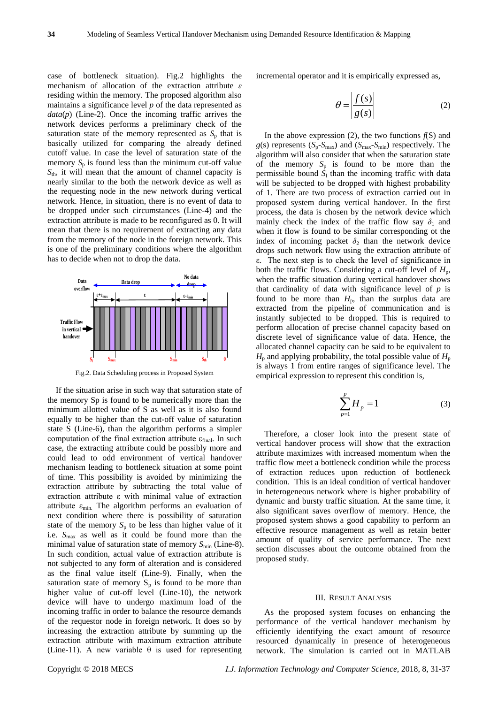case of bottleneck situation). Fig.2 highlights the mechanism of allocation of the extraction attribute *ε*  residing within the memory. The proposed algorithm also maintains a significance level *p* of the data represented as *data*(*p*) (Line-2). Once the incoming traffic arrives the network devices performs a preliminary check of the saturation state of the memory represented as  $S_p$  that is basically utilized for comparing the already defined cutoff value. In case the level of saturation state of the memory  $S_p$  is found less than the minimum cut-off value  $S<sub>th</sub>$ , it will mean that the amount of channel capacity is nearly similar to the both the network device as well as the requesting node in the new network during vertical network. Hence, in situation, there is no event of data to be dropped under such circumstances (Line-4) and the extraction attribute is made to be reconfigured as 0. It will mean that there is no requirement of extracting any data from the memory of the node in the foreign network. This is one of the preliminary conditions where the algorithm has to decide when not to drop the data.



Fig.2. Data Scheduling process in Proposed System

If the situation arise in such way that saturation state of the memory Sp is found to be numerically more than the minimum allotted value of S as well as it is also found equally to be higher than the cut-off value of saturation state S (Line-6), than the algorithm performs a simpler computation of the final extraction attribute  $\varepsilon_{final}$ . In such case, the extracting attribute could be possibly more and could lead to odd environment of vertical handover mechanism leading to bottleneck situation at some point of time. This possibility is avoided by minimizing the extraction attribute by subtracting the total value of extraction attribute ε with minimal value of extraction attribute  $\varepsilon_{\min}$ . The algorithm performs an evaluation of next condition where there is possibility of saturation state of the memory  $S_p$  to be less than higher value of it i.e. *S*max as well as it could be found more than the minimal value of saturation state of memory  $S_{\text{min}}$  (Line-8). In such condition, actual value of extraction attribute is not subjected to any form of alteration and is considered as the final value itself (Line-9). Finally, when the saturation state of memory  $S_p$  is found to be more than higher value of cut-off level (Line-10), the network device will have to undergo maximum load of the incoming traffic in order to balance the resource demands of the requestor node in foreign network. It does so by increasing the extraction attribute by summing up the extraction attribute with maximum extraction attribute (Line-11). A new variable  $\theta$  is used for representing

incremental operator and it is empirically expressed as,

$$
\theta = \frac{f(s)}{g(s)}\tag{2}
$$

In the above expression  $(2)$ , the two functions  $f(S)$  and  $g(s)$  represents  $(S_n-S_{max})$  and  $(S_{max}-S_{min})$  respectively. The algorithm will also consider that when the saturation state of the memory  $S_p$  is found to be more than the permissible bound  $S<sub>l</sub>$  than the incoming traffic with data will be subjected to be dropped with highest probability of 1. There are two process of extraction carried out in proposed system during vertical handover. In the first process, the data is chosen by the network device which mainly check the index of the traffic flow say  $\delta_1$  and when it flow is found to be similar corresponding ot the index of incoming packet  $\delta_2$  than the network device drops such network flow using the extraction attribute of ε. The next step is to check the level of significance in both the traffic flows. Considering a cut-off level of  $H_p$ , when the traffic situation during vertical handover shows that cardinality of data with significance level of *p* is found to be more than  $H_p$ , than the surplus data are extracted from the pipeline of communication and is instantly subjected to be dropped. This is required to perform allocation of precise channel capacity based on discrete level of significance value of data. Hence, the allocated channel capacity can be said to be equivalent to  $H_p$  and applying probability, the total possible value of  $H_p$ is always 1 from entire ranges of significance level. The empirical expression to represent this condition is,

$$
\sum_{p=1}^{p} H_p = 1
$$
 (3)

Therefore, a closer look into the present state of vertical handover process will show that the extraction attribute maximizes with increased momentum when the traffic flow meet a bottleneck condition while the process of extraction reduces upon reduction of bottleneck condition. This is an ideal condition of vertical handover in heterogeneous network where is higher probability of dynamic and bursty traffic situation. At the same time, it also significant saves overflow of memory. Hence, the proposed system shows a good capability to perform an effective resource management as well as retain better amount of quality of service performance. The next section discusses about the outcome obtained from the proposed study.

#### III. RESULT ANALYSIS

As the proposed system focuses on enhancing the performance of the vertical handover mechanism by efficiently identifying the exact amount of resource resourced dynamically in presence of heterogeneous network. The simulation is carried out in MATLAB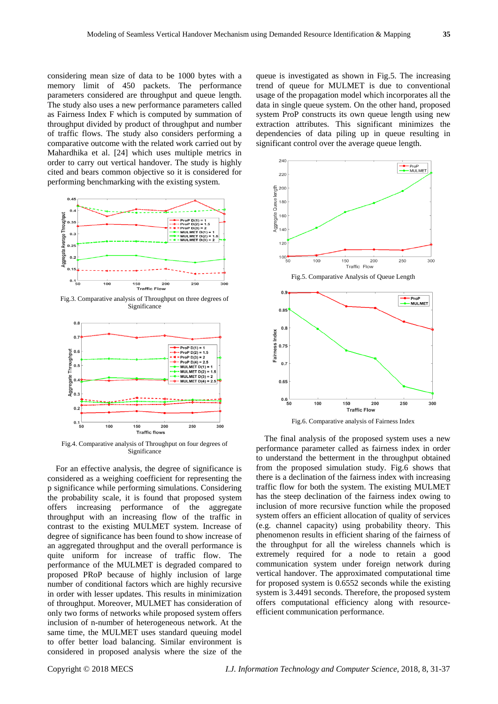considering mean size of data to be 1000 bytes with a memory limit of 450 packets. The performance parameters considered are throughput and queue length. The study also uses a new performance parameters called as Fairness Index F which is computed by summation of throughput divided by product of throughput and number of traffic flows. The study also considers performing a comparative outcome with the related work carried out by Mahardhika et al. [24] which uses multiple metrics in order to carry out vertical handover. The study is highly cited and bears common objective so it is considered for performing benchmarking with the existing system.



Fig.3. Comparative analysis of Throughput on three degrees of Significance



Fig.4. Comparative analysis of Throughput on four degrees of Significance

For an effective analysis, the degree of significance is considered as a weighing coefficient for representing the p significance while performing simulations. Considering the probability scale, it is found that proposed system offers increasing performance of the aggregate throughput with an increasing flow of the traffic in contrast to the existing MULMET system. Increase of degree of significance has been found to show increase of an aggregated throughput and the overall performance is quite uniform for increase of traffic flow. The performance of the MULMET is degraded compared to proposed PRoP because of highly inclusion of large number of conditional factors which are highly recursive in order with lesser updates. This results in minimization of throughput. Moreover, MULMET has consideration of only two forms of networks while proposed system offers inclusion of n-number of heterogeneous network. At the same time, the MULMET uses standard queuing model to offer better load balancing. Similar environment is considered in proposed analysis where the size of the queue is investigated as shown in Fig.5. The increasing trend of queue for MULMET is due to conventional usage of the propagation model which incorporates all the data in single queue system. On the other hand, proposed system ProP constructs its own queue length using new extraction attributes. This significant minimizes the dependencies of data piling up in queue resulting in significant control over the average queue length.





The final analysis of the proposed system uses a new performance parameter called as fairness index in order to understand the betterment in the throughput obtained from the proposed simulation study. Fig.6 shows that there is a declination of the fairness index with increasing traffic flow for both the system. The existing MULMET has the steep declination of the fairness index owing to inclusion of more recursive function while the proposed system offers an efficient allocation of quality of services (e.g. channel capacity) using probability theory. This phenomenon results in efficient sharing of the fairness of the throughput for all the wireless channels which is extremely required for a node to retain a good communication system under foreign network during vertical handover. The approximated computational time for proposed system is 0.6552 seconds while the existing system is 3.4491 seconds. Therefore, the proposed system offers computational efficiency along with resourceefficient communication performance.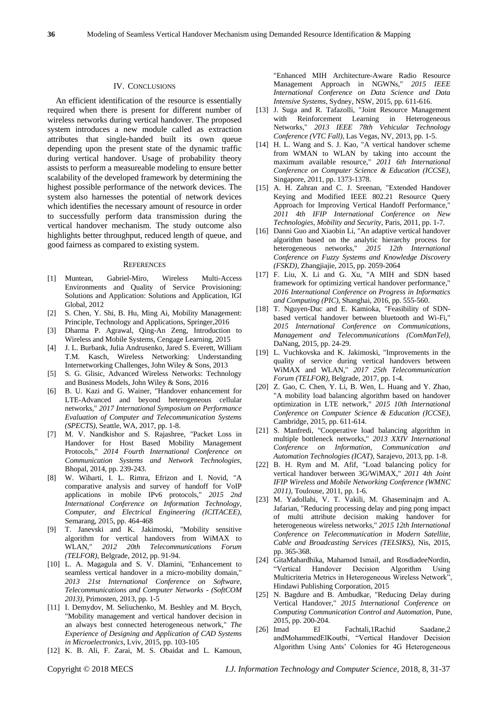#### IV. CONCLUSIONS

An efficient identification of the resource is essentially required when there is present for different number of wireless networks during vertical handover. The proposed system introduces a new module called as extraction attributes that single-handed built its own queue depending upon the present state of the dynamic traffic during vertical handover. Usage of probability theory assists to perform a measureable modeling to ensure better scalability of the developed framework by determining the highest possible performance of the network devices. The system also harnesses the potential of network devices which identifies the necessary amount of resource in order to successfully perform data transmission during the vertical handover mechanism. The study outcome also highlights better throughput, reduced length of queue, and good fairness as compared to existing system.

#### **REFERENCES**

- [1] Muntean, Gabriel-Miro, Wireless Multi-Access Environments and Quality of Service Provisioning: Solutions and Application: Solutions and Application, IGI Global, 2012
- [2] [S. Chen,](https://www.google.co.in/search?tbo=p&tbm=bks&q=inauthor:%22Shanzhi+Chen%22) [Y. Shi,](https://www.google.co.in/search?tbo=p&tbm=bks&q=inauthor:%22Yan+Shi%22) [B. Hu,](https://www.google.co.in/search?tbo=p&tbm=bks&q=inauthor:%22Bo+Hu%22) [Ming Ai,](https://www.google.co.in/search?tbo=p&tbm=bks&q=inauthor:%22Ming+Ai%22) Mobility Management: Principle, Technology and Applications, Springer,2016
- [3] [Dharma P. Agrawal,](https://www.google.co.in/search?tbo=p&tbm=bks&q=inauthor:%22Dharma+P.+Agrawal%22) [Qing-An Zeng,](https://www.google.co.in/search?tbo=p&tbm=bks&q=inauthor:%22Qing-An+Zeng%22) Introduction to Wireless and Mobile Systems, Cengage Learning, 2015
- [4] [J. L. Burbank,](https://www.google.co.in/search?tbo=p&tbm=bks&q=inauthor:%22Jack+L.+Burbank%22) [Julia Andrusenko,](https://www.google.co.in/search?tbo=p&tbm=bks&q=inauthor:%22Julia+Andrusenko%22) [Jared S. Everett,](https://www.google.co.in/search?tbo=p&tbm=bks&q=inauthor:%22Jared+S.+Everett%22) [William](https://www.google.co.in/search?tbo=p&tbm=bks&q=inauthor:%22William+T.M.+Kasch%22)  [T.M. Kasch,](https://www.google.co.in/search?tbo=p&tbm=bks&q=inauthor:%22William+T.M.+Kasch%22) Wireless Networking: Understanding Internetworking Challenges, John Wiley & Sons, 2013
- [5] [S. G. Glisic,](https://www.google.co.in/search?tbo=p&tbm=bks&q=inauthor:%22Savo+G.+Glisic%22) Advanced Wireless Networks: Technology and Business Models, John Wiley & Sons, 2016
- [6] B. U. Kazi and G. Wainer, "Handover enhancement for LTE-Advanced and beyond heterogeneous cellular networks," *2017 International Symposium on Performance Evaluation of Computer and Telecommunication Systems (SPECTS)*, Seattle, WA, 2017, pp. 1-8.
- [7] M. V. Nandkishor and S. Rajashree, "Packet Loss in Handover for Host Based Mobility Management Protocols," *2014 Fourth International Conference on Communication Systems and Network Technologies*, Bhopal, 2014, pp. 239-243.
- [8] W. Wiharti, I. L. Rimra, Efrizon and I. Novid, "A comparative analysis and survey of handoff for VoIP applications in mobile IPv6 protocols," *2015 2nd International Conference on Information Technology, Computer, and Electrical Engineering (ICITACEE)*, Semarang, 2015, pp. 464-468
- [9] T. Janevski and K. Jakimoski, "Mobility sensitive algorithm for vertical handovers from WiMAX to WLAN," *2012 20th Telecommunications Forum (TELFOR)*, Belgrade, 2012, pp. 91-94.
- [10] L. A. Magagula and S. V. Dlamini, "Enhancement to seamless vertical handover in a micro-mobility domain," *2013 21st International Conference on Software, Telecommunications and Computer Networks - (SoftCOM 2013)*, Primosten, 2013, pp. 1-5
- [11] I. Demydov, M. Seliuchenko, M. Beshley and M. Brych, "Mobility management and vertical handover decision in an always best connected heterogeneous network," *The Experience of Designing and Application of CAD Systems in Microelectronics*, Lviv, 2015, pp. 103-105
- [12] K. B. Ali, F. Zarai, M. S. Obaidat and L. Kamoun,

"Enhanced MIH Architecture-Aware Radio Resource Management Approach in NGWNs," *2015 IEEE International Conference on Data Science and Data Intensive Systems*, Sydney, NSW, 2015, pp. 611-616.

- [13] J. Suga and R. Tafazolli, "Joint Resource Management with Reinforcement Learning in Heterogeneous Networks," *2013 IEEE 78th Vehicular Technology Conference (VTC Fall)*, Las Vegas, NV, 2013, pp. 1-5.
- [14] H. L. Wang and S. J. Kao, "A vertical handover scheme from WMAN to WLAN by taking into account the maximum available resource," *2011 6th International Conference on Computer Science & Education (ICCSE)*, Singapore, 2011, pp. 1373-1378.
- [15] A. H. Zahran and C. J. Sreenan, "Extended Handover Keying and Modified IEEE 802.21 Resource Query Approach for Improving Vertical Handoff Performance, *2011 4th IFIP International Conference on New Technologies, Mobility and Security*, Paris, 2011, pp. 1-7.
- [16] Danni Guo and Xiaobin Li, "An adaptive vertical handover algorithm based on the analytic hierarchy process for heterogeneous networks," *2015 12th International Conference on Fuzzy Systems and Knowledge Discovery (FSKD)*, Zhangjiajie, 2015, pp. 2059-2064
- [17] F. Liu, X. Li and G. Xu, "A MIH and SDN based framework for optimizing vertical handover performance," *2016 International Conference on Progress in Informatics and Computing (PIC)*, Shanghai, 2016, pp. 555-560.
- [18] T. Nguyen-Duc and E. Kamioka, "Feasibility of SDNbased vertical handover between bluetooth and Wi-Fi," *2015 International Conference on Communications, Management and Telecommunications (ComManTel)*, DaNang, 2015, pp. 24-29.
- [19] L. Vuchkovska and K. Jakimoski, "Improvements in the quality of service during vertical handovers between WiMAX and WLAN," *2017 25th Telecommunication Forum (TELFOR)*, Belgrade, 2017, pp. 1-4.
- [20] Z. Gao, C. Chen, Y. Li, B. Wen, L. Huang and Y. Zhao, "A mobility load balancing algorithm based on handover optimization in LTE network," *2015 10th International Conference on Computer Science & Education (ICCSE)*, Cambridge, 2015, pp. 611-614.
- [21] S. Manfredi, "Cooperative load balancing algorithm in multiple bottleneck networks," *2013 XXIV International Conference on Information, Communication and Automation Technologies (ICAT)*, Sarajevo, 2013, pp. 1-8.
- [22] B. H. Rym and M. Afif, "Load balancing policy for vertical handover between 3G/WiMAX," *2011 4th Joint IFIP Wireless and Mobile Networking Conference (WMNC 2011)*, Toulouse, 2011, pp. 1-6.
- [23] M. Yadollahi, V. T. Vakili, M. Ghaseminajm and A. Jafarian, "Reducing processing delay and ping pong impact of multi attribute decision making handover for heterogeneous wireless networks," *2015 12th International Conference on Telecommunication in Modern Satellite, Cable and Broadcasting Services (TELSIKS)*, Nis, 2015, pp. 365-368.
- [24] GitaMahardhika, Mahamod Ismail, and RosdiadeeNordin, "Vertical Handover Decision Algorithm Using Multicriteria Metrics in Heterogeneous Wireless Network", Hindawi Publishing Corporation, 2015
- [25] N. Bagdure and B. Ambudkar, "Reducing Delay during Vertical Handover," *2015 International Conference on Computing Communication Control and Automation*, Pune, 2015, pp. 200-204.
- [26] Imad El Fachtali,1Rachid Saadane,2 andMohammedElKoutbi, "Vertical Handover Decision Algorithm Using Ants' Colonies for 4G Heterogeneous